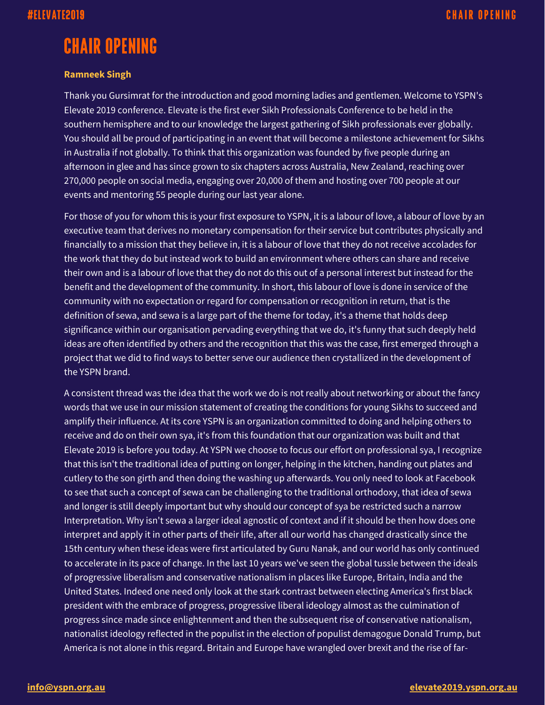## **CHAIR OPENING**

## **Ramneek Singh**

Thank you Gursimrat for the introduction and good morning ladies and gentlemen. Welcome to YSPN's Elevate 2019 conference. Elevate is the first ever Sikh Professionals Conference to be held in the southern hemisphere and to our knowledge the largest gathering of Sikh professionals ever globally. You should all be proud of participating in an event that will become a milestone achievement for Sikhs in Australia if not globally. To think that this organization was founded by five people during an afternoon in glee and has since grown to six chapters across Australia, New Zealand, reaching over 270,000 people on social media, engaging over 20,000 of them and hosting over 700 people at our events and mentoring 55 people during our last year alone.

For those of you for whom this is your first exposure to YSPN, it is a labour of love, a labour of love by an executive team that derives no monetary compensation for their service but contributes physically and financially to a mission that they believe in, it is a labour of love that they do not receive accolades for the work that they do but instead work to build an environment where others can share and receive their own and is a labour of love that they do not do this out of a personal interest but instead for the benefit and the development of the community. In short, this labour of love is done in service of the community with no expectation or regard for compensation or recognition in return, that is the definition of sewa, and sewa is a large part of the theme for today, it's a theme that holds deep significance within our organisation pervading everything that we do, it's funny that such deeply held ideas are often identified by others and the recognition that this was the case, first emerged through a project that we did to find ways to better serve our audience then crystallized in the development of the YSPN brand.

A consistent thread was the idea that the work we do is not really about networking or about the fancy words that we use in our mission statement of creating the conditions for young Sikhs to succeed and amplify their influence. At its core YSPN is an organization committed to doing and helping others to receive and do on their own sya, it's from this foundation that our organization was built and that Elevate 2019 is before you today. At YSPN we choose to focus our effort on professional sya, I recognize that this isn't the traditional idea of putting on longer, helping in the kitchen, handing out plates and cutlery to the son girth and then doing the washing up afterwards. You only need to look at Facebook to see that such a concept of sewa can be challenging to the traditional orthodoxy, that idea of sewa and longer is still deeply important but why should our concept of sya be restricted such a narrow Interpretation. Why isn't sewa a larger ideal agnostic of context and if it should be then how does one interpret and apply it in other parts of their life, after all our world has changed drastically since the 15th century when these ideas were first articulated by Guru Nanak, and our world has only continued to accelerate in its pace of change. In the last 10 years we've seen the global tussle between the ideals of progressive liberalism and conservative nationalism in places like Europe, Britain, India and the United States. Indeed one need only look at the stark contrast between electing America's first black president with the embrace of progress, progressive liberal ideology almost as the culmination of progress since made since enlightenment and then the subsequent rise of conservative nationalism, nationalist ideology reflected in the populist in the election of populist demagogue Donald Trump, but America is not alone in this regard. Britain and Europe have wrangled over brexit and the rise of far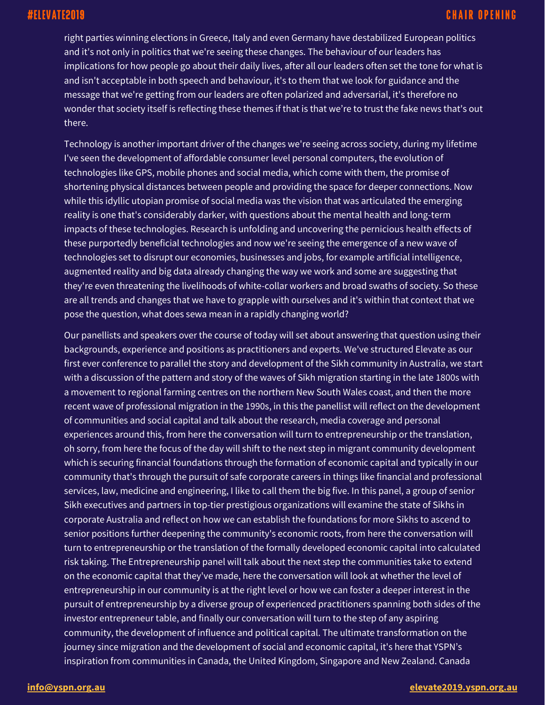right parties winning elections in Greece, Italy and even Germany have destabilized European politics and it's not only in politics that we're seeing these changes. The behaviour of our leaders has implications for how people go about their daily lives, after all our leaders often set the tone for what is and isn't acceptable in both speech and behaviour, it's to them that we look for guidance and the message that we're getting from our leaders are often polarized and adversarial, it's therefore no wonder that society itself is reflecting these themes if that is that we're to trust the fake news that's out there.

Technology is another important driver of the changes we're seeing across society, during my lifetime I've seen the development of affordable consumer level personal computers, the evolution of technologies like GPS, mobile phones and social media, which come with them, the promise of shortening physical distances between people and providing the space for deeper connections. Now while this idyllic utopian promise of social media was the vision that was articulated the emerging reality is one that's considerably darker, with questions about the mental health and long-term impacts of these technologies. Research is unfolding and uncovering the pernicious health effects of these purportedly beneficial technologies and now we're seeing the emergence of a new wave of technologies set to disrupt our economies, businesses and jobs, for example artificial intelligence, augmented reality and big data already changing the way we work and some are suggesting that they're even threatening the livelihoods of white-collar workers and broad swaths of society. So these are all trends and changes that we have to grapple with ourselves and it's within that context that we pose the question, what does sewa mean in a rapidly changing world?

Our panellists and speakers over the course of today will set about answering that question using their backgrounds, experience and positions as practitioners and experts. We've structured Elevate as our first ever conference to parallel the story and development of the Sikh community in Australia, we start with a discussion of the pattern and story of the waves of Sikh migration starting in the late 1800s with a movement to regional farming centres on the northern New South Wales coast, and then the more recent wave of professional migration in the 1990s, in this the panellist will reflect on the development of communities and social capital and talk about the research, media coverage and personal experiences around this, from here the conversation will turn to entrepreneurship or the translation, oh sorry, from here the focus of the day will shift to the next step in migrant community development which is securing financial foundations through the formation of economic capital and typically in our community that's through the pursuit of safe corporate careers in things like financial and professional services, law, medicine and engineering, I like to call them the big five. In this panel, a group of senior Sikh executives and partners in top-tier prestigious organizations will examine the state of Sikhs in corporate Australia and reflect on how we can establish the foundations for more Sikhs to ascend to senior positions further deepening the community's economic roots, from here the conversation will turn to entrepreneurship or the translation of the formally developed economic capital into calculated risk taking. The Entrepreneurship panel will talk about the next step the communities take to extend on the economic capital that they've made, here the conversation will look at whether the level of entrepreneurship in our community is at the right level or how we can foster a deeper interest in the pursuit of entrepreneurship by a diverse group of experienced practitioners spanning both sides of the investor entrepreneur table, and finally our conversation will turn to the step of any aspiring community, the development of influence and political capital. The ultimate transformation on the journey since migration and the development of social and economic capital, it's here that YSPN's inspiration from communities in Canada, the United Kingdom, Singapore and New Zealand. Canada